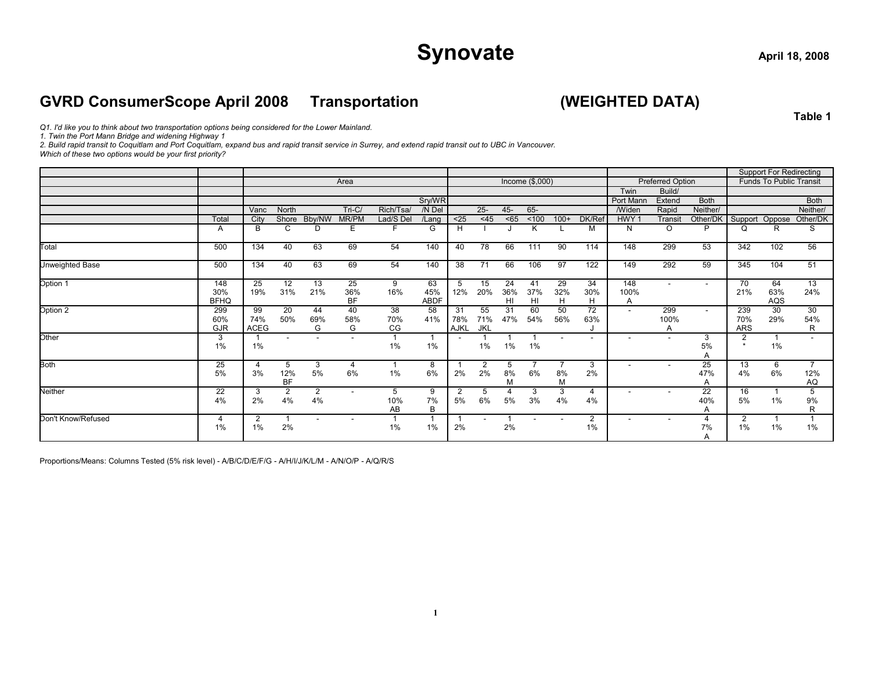## Synovate
and  $\frac{1}{2}$  april 18, 2008

#### **GVRD ConsumerScope April 2008 Transportation (WEIGHTED DATA)**

**Table 1**

*Q1. I'd like you to think about two transportation options being considered for the Lower Mainland.*

*1. Twin the Port Mann Bridge and widening Highway 1*

*2. Build rapid transit to Coquitlam and Port Coquitlam, expand bus and rapid transit service in Surrey, and extend rapid transit out to UBC in Vancouver.*

*Which of these two options would be your first priority?*

|                        |                           |                          |                          |                          |                        |                 |                          |                   |                  |                             |                 |                |                          |                          |                         |                         |                           | <b>Support For Redirecting</b> |                             |
|------------------------|---------------------------|--------------------------|--------------------------|--------------------------|------------------------|-----------------|--------------------------|-------------------|------------------|-----------------------------|-----------------|----------------|--------------------------|--------------------------|-------------------------|-------------------------|---------------------------|--------------------------------|-----------------------------|
|                        |                           |                          |                          |                          | Area                   |                 |                          |                   |                  |                             | Income (\$,000) |                |                          |                          | <b>Preferred Option</b> |                         |                           | Funds To Public Transit        |                             |
|                        |                           |                          |                          |                          |                        |                 |                          |                   |                  |                             |                 |                |                          | Twin                     | Build/                  |                         |                           |                                |                             |
|                        |                           |                          |                          |                          |                        |                 | Sry/WR                   |                   |                  |                             |                 |                |                          | Port Manr                | Extend                  | <b>Both</b>             |                           |                                | <b>Both</b>                 |
|                        |                           | Vanc                     | North                    |                          | Tri-C/                 | Rich/Tsa/       | /N Del                   |                   | $25 -$           | $45 -$                      | 65-             |                |                          | <b>/Widen</b>            | Rapid                   | Neither/                |                           |                                | Neither/                    |
|                        | Total                     | City                     | Shore                    | Bby/NW                   | MR/PM                  | Lad/S Del       | /Lang                    | $25$              | <45              | $65$                        | < 100           | $100+$         | DK/Ref                   | HWY <sub>1</sub>         | Transit                 | Other/DK                | Support                   | Oppose                         | Other/DK                    |
|                        | A                         | В                        | C                        | D                        | E                      | F               | G                        | H                 |                  |                             | K               |                | M                        | N                        | $\Omega$                | P                       | Q                         | R                              | S                           |
| Total                  | 500                       | 134                      | 40                       | 63                       | 69                     | 54              | 140                      | 40                | 78               | 66                          | 111             | 90             | 114                      | 148                      | 299                     | 53                      | 342                       | 102                            | 56                          |
| <b>Unweighted Base</b> | 500                       | 134                      | 40                       | 63                       | 69                     | 54              | 140                      | 38                | 71               | 66                          | 106             | 97             | 122                      | 149                      | 292                     | 59                      | 345                       | 104                            | 51                          |
| Option 1               | 148<br>30%<br><b>BFHQ</b> | 25<br>19%                | 12<br>31%                | 13<br>21%                | 25<br>36%<br><b>BF</b> | 9<br>16%        | 63<br>45%<br><b>ABDF</b> | 5<br>12%          | 15<br>20%        | 24<br>36%<br>H <sub>l</sub> | 41<br>37%<br>HI | 29<br>32%<br>H | 34<br>30%<br>H           | 148<br>100%<br>A         | $\overline{a}$          | $\sim$                  | 70<br>21%                 | 64<br>63%<br>AQS               | 13<br>24%                   |
| Option 2               | 299<br>60%<br><b>GJR</b>  | 99<br>74%<br><b>ACEG</b> | 20<br>50%                | 44<br>69%<br>G           | 40<br>58%<br>G         | 38<br>70%<br>CG | 58<br>41%                | 31<br>78%<br>AJKL | 55<br>71%<br>JKL | 31<br>47%                   | 60<br>54%       | 50<br>56%      | 72<br>63%                | $\overline{\phantom{a}}$ | 299<br>100%<br>Α        | $\sim$                  | 239<br>70%<br><b>ARS</b>  | 30<br>29%                      | 30<br>54%<br>R              |
| Other                  | 3<br>1%                   | 1%                       | $\overline{\phantom{a}}$ | $\overline{\phantom{a}}$ | ٠                      | 1%              | 1%                       |                   | 1%               | 1%                          | 1%              |                | $\overline{\phantom{a}}$ | $\overline{\phantom{a}}$ |                         | 3<br>5%<br>$\mathsf{A}$ | $\overline{2}$<br>$\star$ | 1%                             | $\overline{\phantom{a}}$    |
| <b>Both</b>            | 25<br>5%                  | $\overline{4}$<br>3%     | 5<br>12%<br><b>BF</b>    | 3<br>5%                  | 4<br>6%                | 1%              | 8<br>6%                  | 2%                | 2<br>2%          | 5<br>8%<br>M                | 6%              | 8%<br>M        | 3<br>2%                  |                          |                         | 25<br>47%               | 13<br>4%                  | 6<br>6%                        | $\overline{7}$<br>12%<br>AQ |
| <b>Neither</b>         | 22<br>4%                  | 3<br>2%                  | $\overline{2}$<br>4%     | $\overline{2}$<br>4%     |                        | 5<br>10%<br>AB  | 9<br>7%<br>B             | 2<br>5%           | 5<br>6%          | 4<br>5%                     | 3<br>3%         | 3<br>4%        | 4<br>4%                  |                          |                         | 22<br>40%<br>A          | 16<br>5%                  | 1%                             | 5<br>9%<br>$\mathsf{R}$     |
| Don't Know/Refused     | 4<br>1%                   | 2<br>1%                  | 2%                       | $\overline{\phantom{a}}$ |                        | 1%              | 1%                       | 2%                |                  | 2%                          |                 |                | $\overline{c}$<br>1%     |                          |                         | 4<br>7%<br>A            | 2<br>1%                   | 1%                             | 1%                          |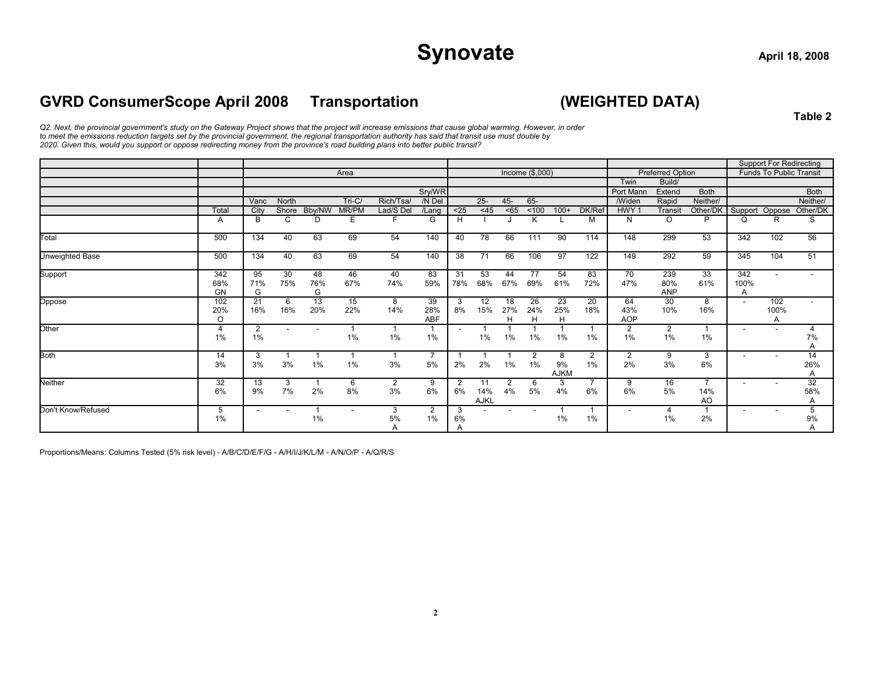## Synovate
and  $\frac{1}{2}$  april 18, 2008

### **GVRD ConsumerScope April 2008 Transportation (WEIGHTED DATA)**

**Table 2**

*Q2. Next, the provincial government's study on the Gateway Project shows that the project will increase emissions that cause global warming. However, in order to meet the emissions reduction targets set by the provincial government, the regional transportation authority has said that transit use must double by 2020. Given this, would you support or oppose redirecting money from the province's road building plans into better public transit?*

|                    |                         |                      |                          |                          |                          |           |                         |                          |                   |                |                 |                        |                      |                          |                          |                       |                          | <b>Support For Redirecting</b> |                |
|--------------------|-------------------------|----------------------|--------------------------|--------------------------|--------------------------|-----------|-------------------------|--------------------------|-------------------|----------------|-----------------|------------------------|----------------------|--------------------------|--------------------------|-----------------------|--------------------------|--------------------------------|----------------|
|                    |                         |                      |                          |                          | Area                     |           |                         |                          |                   |                | Income (\$,000) |                        |                      |                          | <b>Preferred Option</b>  |                       |                          | <b>Funds To Public Transit</b> |                |
|                    |                         |                      |                          |                          |                          |           |                         |                          |                   |                |                 |                        |                      | Twin                     | Build/                   |                       |                          |                                |                |
|                    |                         |                      |                          |                          |                          |           | Sry/WR                  |                          |                   |                |                 |                        |                      | Port Manr                | Extend                   | <b>Both</b>           |                          |                                | <b>Both</b>    |
|                    |                         | Vanc                 | North                    |                          | Tri-C/                   | Rich/Tsa/ | /N Del                  |                          | $25 -$            | 45-            | $65 -$          |                        |                      | <b>/Widen</b>            | Rapid                    | Neither/              |                          |                                | Neither/       |
|                    | Total                   | City                 | Shore                    | Bby/NW                   | MR/PM                    | Lad/S Del | /Lang                   | $25$                     | $<$ 45            | < 65           | < 100           | $100+$                 | DK/Ref               | HWY <sub>1</sub>         | Transit                  | Other/DK              | Support                  | Oppose                         | Other/DK       |
|                    | A                       | B                    | C                        | D                        | Ε                        |           | G                       | H                        |                   |                | K               |                        | М                    | N                        | $\circ$                  | D                     | Q                        | R                              | S              |
| Total              | 500                     | 134                  | 40                       | 63                       | 69                       | 54        | 140                     | 40                       | 78                | 66             | 111             | 90                     | 114                  | 148                      | 299                      | 53                    | 342                      | 102                            | 56             |
| Unweighted Base    | 500                     | 134                  | 40                       | 63                       | 69                       | 54        | 140                     | 38                       | 71                | 66             | 106             | 97                     | 122                  | 149                      | 292                      | 59                    | 345                      | 104                            | 51             |
| Support            | 342<br>68%<br><b>GN</b> | 95<br>71%<br>G       | 30<br>75%                | 48<br>76%<br>G           | 46<br>67%                | 40<br>74% | 83<br>59%               | 31<br>78%                | 53<br>68%         | 44<br>67%      | 77<br>69%       | 54<br>61%              | 83<br>72%            | 70<br>47%                | 239<br>80%<br><b>ANP</b> | 33<br>61%             | 342<br>100%<br>A         |                                |                |
| Oppose             | 102<br>20%<br>$\Omega$  | 21<br>16%            | 6<br>16%                 | 13<br>20%                | 15<br>22%                | 8<br>14%  | 39<br>28%<br>ABF        | 3<br>8%                  | 12<br>15%         | 18<br>27%<br>н | 26<br>24%<br>H  | 23<br>25%<br>H         | 20<br>18%            | 64<br>43%<br><b>AOP</b>  | 30<br>10%                | 8<br>16%              | $\overline{\phantom{a}}$ | 102<br>100%<br>Α               |                |
| Other              | 4<br>1%                 | $\overline{2}$<br>1% | ٠                        | $\overline{\phantom{a}}$ | 1%                       | 1%        | 1%                      | $\overline{\phantom{a}}$ | 1%                | 1%             | $1\%$           | 1%                     | 1%                   | $\overline{2}$<br>1%     | $\overline{2}$<br>1%     | $1\%$                 | $\overline{\phantom{a}}$ |                                | 4<br>7%<br>Α   |
| <b>Both</b>        | 14<br>3%                | 3<br>3%              | 3%                       | 1%                       | 1%                       | 3%        | $\overline{7}$<br>5%    | 2%                       | 2%                | 1%             | 2<br>1%         | 8<br>9%<br><b>AJKM</b> | $\overline{2}$<br>1% | $\overline{2}$<br>2%     | 9<br>3%                  | 3<br>6%               | $\overline{\phantom{a}}$ |                                | 14<br>26%<br>A |
| Neither            | 32<br>6%                | 13<br>9%             | 3<br>7%                  | 2%                       | 6<br>8%                  | 2<br>3%   | 9<br>6%                 | $\overline{2}$<br>6%     | 11<br>14%<br>AJKL | 2<br>4%        | 6<br>5%         | 3<br>4%                | $\overline{7}$<br>6% | 9<br>6%                  | 16<br>5%                 | 14%<br>A <sub>O</sub> | $\sim$                   |                                | 32<br>58%<br>A |
| Don't Know/Refused | 5<br>1%                 | $\overline{a}$       | $\overline{\phantom{a}}$ | 1<br>1%                  | $\overline{\phantom{a}}$ | 3<br>5%   | $\overline{2}$<br>$1\%$ | 3<br>6%                  |                   |                |                 | 1%                     | 1%                   | $\overline{\phantom{a}}$ | 4<br>1%                  | 2%                    | $\overline{\phantom{a}}$ | ۰                              | 5<br>9%        |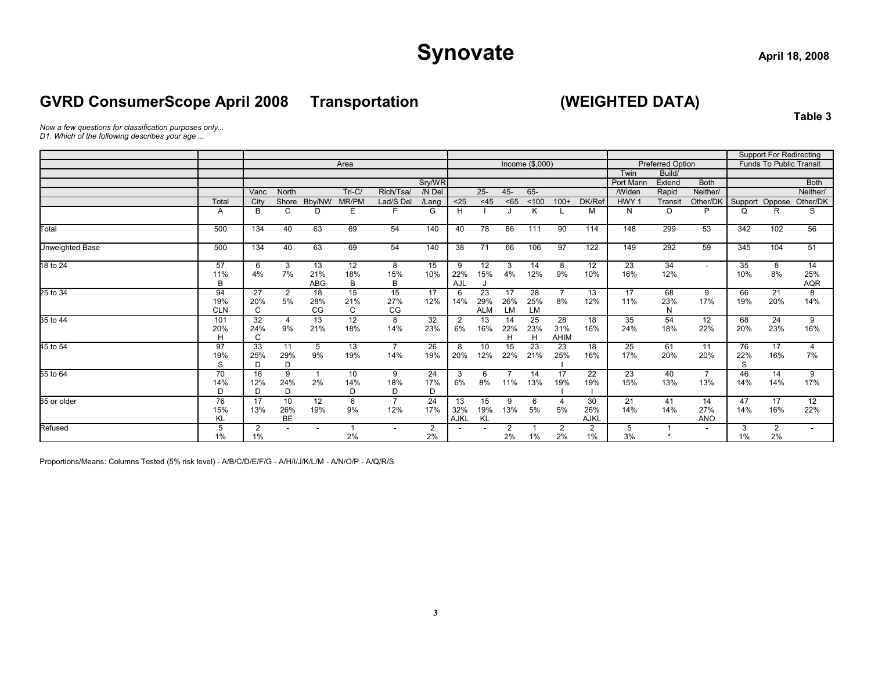### **GVRD ConsumerScope April 2008 Transportation (WEIGHTED DATA)**

**Table 3**

*Now a few questions for classification purposes only...*

*D1. Which of the following describes your age ...*

|                        |            |                     |                |            |          |                |                |                |            |          |                  |                |             |                  |                         |             |         | <b>Support For Redirecting</b> |                          |
|------------------------|------------|---------------------|----------------|------------|----------|----------------|----------------|----------------|------------|----------|------------------|----------------|-------------|------------------|-------------------------|-------------|---------|--------------------------------|--------------------------|
|                        |            |                     |                |            | Area     |                |                |                |            |          | Income $($,000)$ |                |             |                  | <b>Preferred Option</b> |             |         | <b>Funds To Public Transit</b> |                          |
|                        |            |                     |                |            |          |                |                |                |            |          |                  |                |             | Twin             | Build/                  |             |         |                                |                          |
|                        |            |                     |                |            |          |                | Sry/WR         |                |            |          |                  |                |             | Port Manr        | Extend                  | <b>Both</b> |         |                                | <b>Both</b>              |
|                        |            | Vanc                | <b>North</b>   |            | $Tri-C/$ | Rich/Tsa/      | /N Del         |                | $25 -$     | $45 -$   | 65-              |                |             | <b>Widen</b>     | Rapid                   | Neither/    |         |                                | Neither/                 |
|                        | Total      | City                | Shore          | Bby/NW     | MR/PM    | Lad/S Del      | /Lang          | $25$           | $<$ 45     | < 65     | < 100            | $100+$         | DK/Ref      | HWY <sub>1</sub> | Transit                 | Other/DK    | Support | Oppose                         | Other/DK                 |
|                        | A          | B                   | C              | D          | Ε        | F              | G              | H              |            |          | ĸ                |                | М           | N                | $\circ$                 | P           | Q       | R                              | S                        |
| Total                  | 500        | 134                 | 40             | 63         | 69       | 54             | 140            | 40             | 78         | 66       | 111              | 90             | 114         | 148              | 299                     | 53          | 342     | 102                            | 56                       |
| <b>Unweighted Base</b> | 500        | 134                 | 40             | 63         | 69       | 54             | 140            | 38             | 71         | 66       | 106              | 97             | 122         | 149              | 292                     | 59          | 345     | 104                            | 51                       |
| 18 to 24               | 57         | 6                   | 3              | 13         | 12       | 8              | 15             | 9              | 12         | 3        | 14               | 8              | 12          | 23               | 34                      | $\sim$      | 35      | 8                              | 14                       |
|                        | 11%<br>B   | 4%                  | 7%             | 21%<br>ABG | 18%<br>В | 15%<br>B       | 10%            | 22%<br>AJL     | 15%        | 4%       | 12%              | 9%             | 10%         | 16%              | 12%                     |             | 10%     | 8%                             | 25%<br><b>AQR</b>        |
| 25 to 34               | 94         | 27                  | $\overline{2}$ | 18         | 15       | 15             | 17             | 6              | 23         | 17       | 28               | $\overline{7}$ | 13          | 17               | 68                      | 9           | 66      | 21                             | 8                        |
|                        | 19%        | 20%                 | 5%             | 28%        | 21%      | 27%            | 12%            | 14%            | 29%        | 26%      | 25%              | 8%             | 12%         | 11%              | 23%                     | 17%         | 19%     | 20%                            | 14%                      |
|                        | <b>CLN</b> | C                   |                | CG         | C        | CG             |                |                | <b>ALM</b> | LM       | LM               |                |             |                  | N                       |             |         |                                |                          |
| 35 to 44               | 101        | 32                  | $\overline{4}$ | 13         | 12       | 8              | 32             | $\overline{2}$ | 13         | 14       | 25               | 28             | 18          | 35               | 54                      | 12          | 68      | 24                             | 9                        |
|                        | 20%<br>H   | 24%<br>$\mathsf{C}$ | 9%             | 21%        | 18%      | 14%            | 23%            | 6%             | 16%        | 22%<br>H | 23%<br>H         | 31%<br>AHIM    | 16%         | 24%              | 18%                     | 22%         | 20%     | 23%                            | 16%                      |
| 45 to 54               | 97         | 33                  | 11             | 5          | 13       | $\overline{7}$ | 26             | 8              | 10         | 15       | 23               | 23             | 18          | 25               | 61                      | 11          | 76      | 17                             | 4                        |
|                        | 19%        | 25%                 | 29%            | 9%         | 19%      | 14%            | 19%            | 20%            | 12%        | 22%      | 21%              | 25%            | 16%         | 17%              | 20%                     | 20%         | 22%     | 16%                            | 7%                       |
|                        | S          | D                   | D              |            |          |                |                |                |            |          |                  |                |             |                  |                         |             | S       |                                |                          |
| 55 to 64               | 70         | 16                  | 9              |            | 10       | 9              | 24             | 3              | 6          |          | 14               | 17             | 22          | 23               | 40                      |             | 46      | 14                             | 9                        |
|                        | 14%        | 12%                 | 24%            | 2%         | 14%      | 18%            | 17%            | 6%             | 8%         | 11%      | 13%              | 19%            | 19%         | 15%              | 13%                     | 13%         | 14%     | 14%                            | 17%                      |
|                        | D          | D                   | D              |            | D        | D              | D              |                |            |          |                  |                |             |                  |                         |             |         |                                |                          |
| 65 or older            | 76         | 17                  | 10             | 12         | 6        | $\overline{7}$ | 24             | 13             | 15         | 9        | 6                | 4              | 30          | 21               | 41                      | 14          | 47      | 17                             | 12                       |
|                        | 15%        | 13%                 | 26%            | 19%        | 9%       | 12%            | 17%            | 32%            | 19%        | 13%      | 5%               | 5%             | 26%         | 14%              | 14%                     | 27%         | 14%     | 16%                            | 22%                      |
|                        | ΚL         |                     | BE             |            |          |                |                | AJKL           | KL         |          |                  |                | <b>AJKL</b> |                  |                         | <b>ANO</b>  |         |                                |                          |
| Refused                | 5          | $\overline{2}$      |                |            |          |                | $\overline{2}$ |                |            | 2        |                  | 2              | 2           | 5                |                         |             | 3       | 2                              | $\overline{\phantom{a}}$ |
|                        | 1%         | $1\%$               |                |            | 2%       |                | 2%             |                |            | 2%       | $1\%$            | 2%             | $1\%$       | 3%               |                         |             | $1\%$   | 2%                             |                          |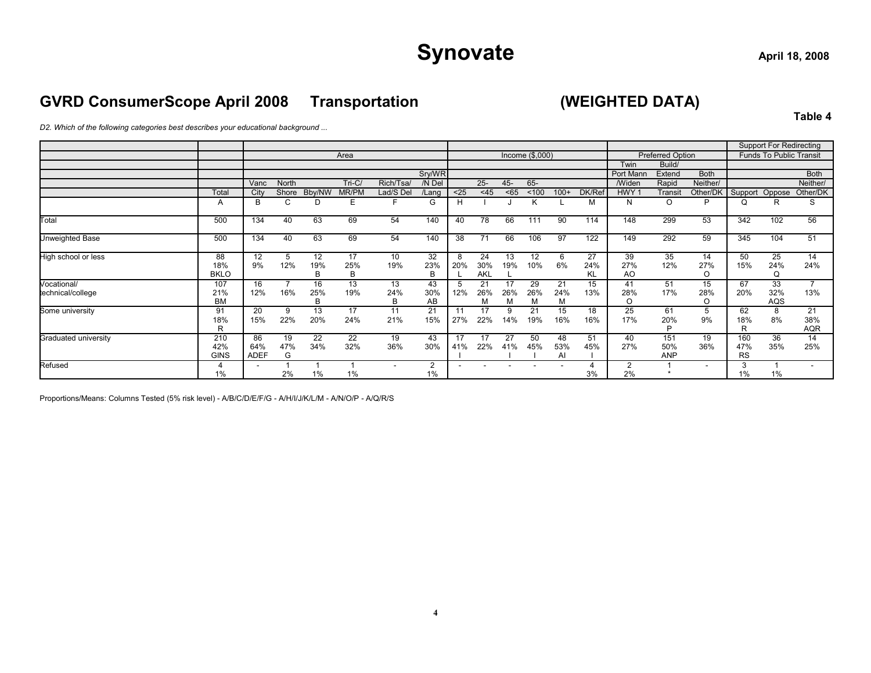### **GVRD ConsumerScope April 2008 Transportation (WEIGHTED DATA)**

**Table 4**

*D2. Which of the following categories best describes your educational background ...*

|                        |                           |                          |                |                |                |                        |                      |           |                         |           |                  |                 |                 |                             |                          |                |                         | <b>Support For Redirecting</b> |                          |
|------------------------|---------------------------|--------------------------|----------------|----------------|----------------|------------------------|----------------------|-----------|-------------------------|-----------|------------------|-----------------|-----------------|-----------------------------|--------------------------|----------------|-------------------------|--------------------------------|--------------------------|
|                        |                           |                          |                |                | Area           |                        |                      |           |                         |           | Income $($,000)$ |                 |                 |                             | <b>Preferred Option</b>  |                |                         | <b>Funds To Public Transit</b> |                          |
|                        |                           |                          |                |                |                |                        |                      |           |                         |           |                  |                 |                 | Twin                        | Build/                   |                |                         |                                |                          |
|                        |                           |                          |                |                |                |                        | Sry/WR               |           |                         |           |                  |                 |                 | Port Mann                   | Extend                   | <b>Both</b>    |                         |                                | <b>Both</b>              |
|                        |                           | Vanc                     | North          |                | $Tri-C/$       | Rich/Tsa               | /N Del               |           | $25 -$                  | $45 -$    | 65-              |                 |                 | <b>Widen</b>                | Rapid                    | Neither/       |                         |                                | Neither/                 |
|                        | Total                     | City                     | Shore          | Bby/NW         | MR/PM          | Lad/S Del              | /Lang                | $25$      | $<$ 45                  | < 65      | < 100            | $100+$          | DK/Ref          | HWY <sub>1</sub>            | Transit                  | Other/DK       | Support Oppose          |                                | Other/DK                 |
|                        | A                         | B                        | С              | D              | Е              |                        | G                    | Н         |                         |           |                  |                 | М               | N                           | O                        | P              | Q                       | R                              | S                        |
| Total                  | 500                       | 134                      | 40             | 63             | 69             | 54                     | 140                  | 40        | 78                      | 66        | 111              | 90              | 114             | 148                         | 299                      | 53             | 342                     | 102                            | 56                       |
| <b>Unweighted Base</b> | 500                       | 134                      | 40             | 63             | 69             | 54                     | 140                  | 38        | 71                      | 66        | 106              | 97              | 122             | 149                         | 292                      | 59             | 345                     | 104                            | 51                       |
| High school or less    | 88<br>18%<br><b>BKLO</b>  | 12<br>9%                 | 5<br>12%       | 12<br>19%<br>B | 17<br>25%<br>B | 10 <sup>1</sup><br>19% | 32<br>23%<br>B       | 8<br>20%  | 24<br>30%<br><b>AKL</b> | 13<br>19% | 12<br>10%        | 6<br>6%         | 27<br>24%<br>ΚL | 39<br>27%<br>A <sub>O</sub> | 35<br>12%                | 14<br>27%<br>O | 50<br>15%               | 25<br>24%<br>Q                 | 14<br>24%                |
| Vocational/            | 107                       | 16                       |                | 16             | 13             | 13                     | 43                   |           | 21                      | 17        | 29               | 21              | 15              | 41                          | 51                       | 15             | 67                      | 33                             | $\overline{\phantom{a}}$ |
| technical/college      | 21%                       | 12%                      | 16%            | 25%            | 19%            | 24%                    | 30%                  | 12%       | 26%                     | 26%       | 26%              | 24%             | 13%             | 28%                         | 17%                      | 28%            | 20%                     | 32%                            | 13%                      |
|                        | <b>BM</b>                 |                          |                | B              |                | B                      | AB                   |           | м                       | M         | м                | M               |                 | $\circ$                     |                          | O              |                         | AQS                            |                          |
| Some university        | 91<br>18%<br>R            | 20<br>15%                | 9<br>22%       | 13<br>20%      | 17<br>24%      | 11<br>21%              | 21<br>15%            | 11<br>27% | 17<br>22%               | 9<br>14%  | 21<br>19%        | 15<br>16%       | 18<br>16%       | 25<br>17%                   | 61<br>20%<br>D           | 5<br>9%        | 62<br>18%<br>R          | 8<br>8%                        | 21<br>38%<br><b>AQR</b>  |
| Graduated university   | 210<br>42%<br><b>GINS</b> | 86<br>64%<br><b>ADEF</b> | 19<br>47%<br>G | 22<br>34%      | 22<br>32%      | 19<br>36%              | 43<br>30%            | 17<br>41% | 17<br>22%               | 27<br>41% | 50<br>45%        | 48<br>53%<br>Al | 51<br>45%       | 40<br>27%                   | 151<br>50%<br><b>ANP</b> | 19<br>36%      | 160<br>47%<br><b>RS</b> | 36<br>35%                      | 14<br>25%                |
| Refused                | 1%                        |                          | 2%             | 1%             | 1%             |                        | $\overline{2}$<br>1% |           |                         |           |                  |                 | 3%              | $\overline{2}$<br>2%        |                          |                | 3<br>$1\%$              | 1%                             |                          |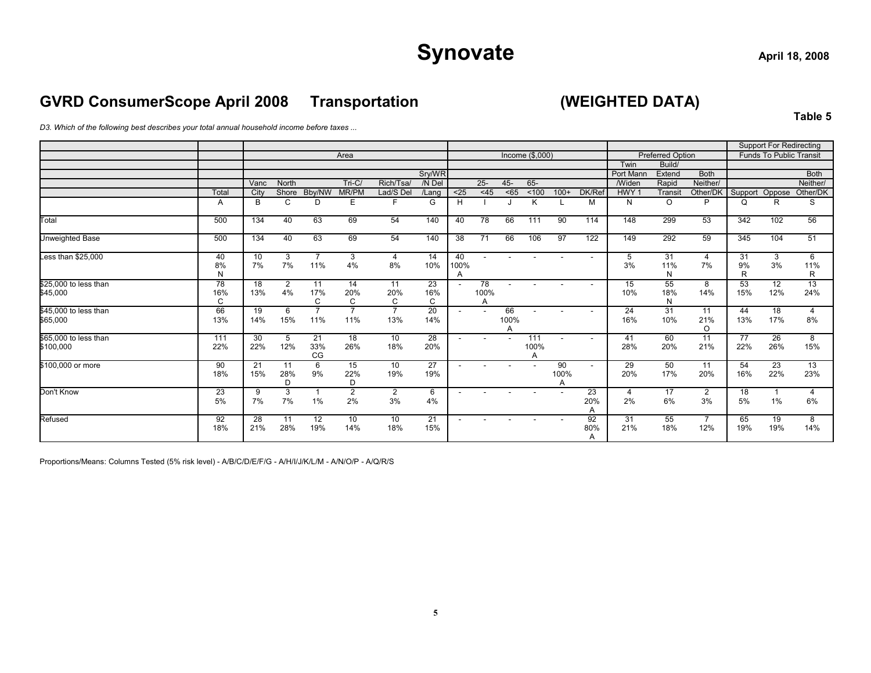### **GVRD ConsumerScope April 2008 Transportation (WEIGHTED DATA)**

**Table 5**

*D3. Which of the following best describes your total annual household income before taxes ...*

|                                    |                |           |                |                       |                       |                       |                |                 |                 |                 |                  |                 |                          |                   |                         |                      |               | <b>Support For Redirecting</b> |               |
|------------------------------------|----------------|-----------|----------------|-----------------------|-----------------------|-----------------------|----------------|-----------------|-----------------|-----------------|------------------|-----------------|--------------------------|-------------------|-------------------------|----------------------|---------------|--------------------------------|---------------|
|                                    |                |           |                |                       | Area                  |                       |                |                 |                 |                 | Income $($,000)$ |                 |                          |                   | <b>Preferred Option</b> |                      |               | <b>Funds To Public Transit</b> |               |
|                                    |                |           |                |                       |                       |                       | Sry/WR         |                 |                 |                 |                  |                 |                          | Twin<br>Port Manr | Build/<br>Extend        | <b>Both</b>          |               |                                | <b>Both</b>   |
|                                    |                | Vanc      | <b>North</b>   |                       | $Tri-C/$              | Rich/Tsa/             | /N Del         |                 | $25 -$          | $45 -$          | $65 -$           |                 |                          | <b>Widen</b>      | Rapid                   | Neither/             |               |                                | Neither/      |
|                                    | Total          | City      | Shore          | Bby/NW                | MR/PM                 | Lad/S Del             | /Lang          | $25$            | $<$ 45          | $65$            | ~100             | $100+$          | DK/Ref                   | HWY <sub>1</sub>  | Transit                 | Other/DK             | Support       | Oppose                         | Other/DK      |
|                                    | A              | B         | C              | D                     | Ε                     | F                     | G              | Н               |                 |                 | K                |                 | м                        | N                 | $\circ$                 | P                    | Q             | R                              | S             |
| Total                              | 500            | 134       | 40             | 63                    | 69                    | 54                    | 140            | 40              | 78              | 66              | 111              | 90              | 114                      | 148               | 299                     | 53                   | 342           | 102                            | 56            |
| Unweighted Base                    | 500            | 134       | 40             | 63                    | 69                    | 54                    | 140            | 38              | 71              | 66              | 106              | 97              | 122                      | 149               | 292                     | 59                   | 345           | 104                            | 51            |
| Less than \$25,000                 | 40<br>8%<br>N  | 10<br>7%  | 3<br>7%        | $\overline{7}$<br>11% | 3<br>4%               | 4<br>8%               | 14<br>10%      | 40<br>100%<br>A |                 |                 |                  |                 | $\overline{\phantom{a}}$ | 5<br>3%           | 31<br>11%<br>N          | 4<br>7%              | 31<br>9%<br>R | 3<br>3%                        | 6<br>11%<br>R |
| \$25,000 to less than<br>\$45,000  | 78<br>16%<br>C | 18<br>13% | 2<br>4%        | 11<br>17%<br>C        | 14<br>20%<br>C        | 11<br>20%<br>C        | 23<br>16%<br>C |                 | 78<br>100%<br>A |                 |                  |                 | $\overline{\phantom{a}}$ | 15<br>10%         | 55<br>18%<br>N          | 8<br>14%             | 53<br>15%     | 12<br>12%                      | 13<br>24%     |
| \$45,000 to less than<br>\$65,000  | 66<br>13%      | 19<br>14% | 6<br>15%       | $\overline{7}$<br>11% | $\overline{7}$<br>11% | $\overline{7}$<br>13% | 20<br>14%      |                 |                 | 66<br>100%<br>A |                  |                 | $\overline{\phantom{a}}$ | 24<br>16%         | 31<br>10%               | 11<br>21%<br>$\circ$ | 44<br>13%     | 18<br>17%                      | 4<br>8%       |
| \$65,000 to less than<br>\$100,000 | 111<br>22%     | 30<br>22% | 5<br>12%       | 21<br>33%<br>CG       | 18<br>26%             | 10<br>18%             | 28<br>20%      |                 |                 | $\overline{a}$  | 111<br>100%      |                 |                          | 41<br>28%         | 60<br>20%               | 11<br>21%            | 77<br>22%     | $\overline{26}$<br>26%         | 8<br>15%      |
| \$100,000 or more                  | 90<br>18%      | 21<br>15% | 11<br>28%<br>D | 6<br>9%               | 15<br>22%<br>D        | 10<br>19%             | 27<br>19%      |                 |                 |                 |                  | 90<br>100%<br>Α | $\overline{\phantom{0}}$ | 29<br>20%         | 50<br>17%               | 11<br>20%            | 54<br>16%     | 23<br>22%                      | 13<br>23%     |
| Don't Know                         | 23<br>5%       | 9<br>7%   | 3<br>7%        | 1<br>1%               | $\overline{2}$<br>2%  | 2<br>3%               | 6<br>4%        |                 |                 |                 |                  |                 | 23<br>20%<br>A           | 4<br>2%           | 17<br>6%                | 2<br>3%              | 18<br>5%      | 1%                             | 6%            |
| Refused                            | 92<br>18%      | 28<br>21% | 11<br>28%      | 12<br>19%             | 10<br>14%             | 10<br>18%             | 21<br>15%      |                 |                 |                 |                  |                 | 92<br>80%<br>A           | 31<br>21%         | 55<br>18%               | 12%                  | 65<br>19%     | 19<br>19%                      | 8<br>14%      |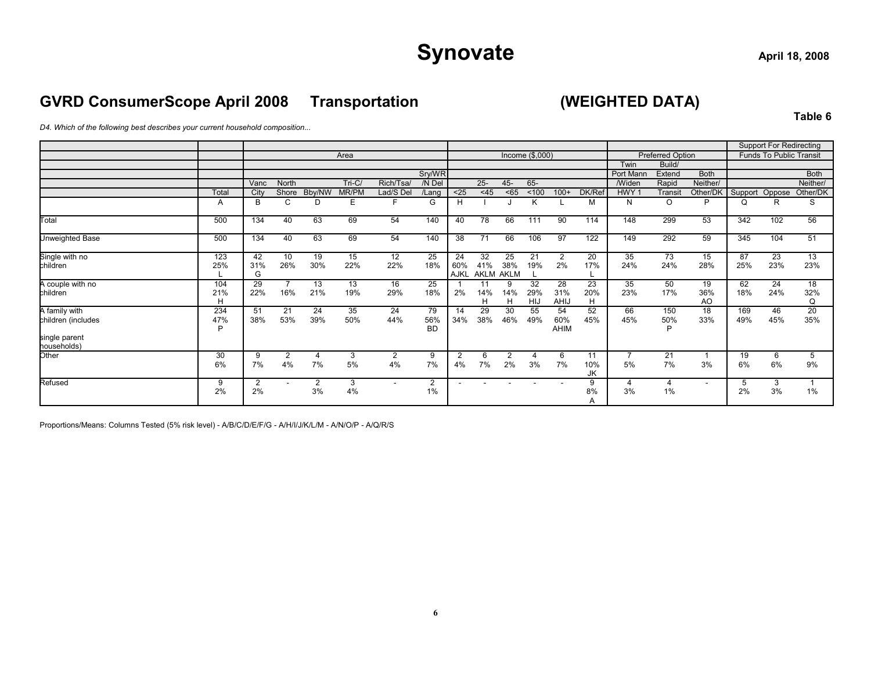### **GVRD ConsumerScope April 2008 Transportation (WEIGHTED DATA)**

**Table 6**

*D4. Which of the following best describes your current household composition...*

|                                                                     |                 |                      |                          |           |           |                      |                        |                          |                   |                          |                    |                   |                 |                      |                      |                 |            | <b>Support For Redirecting</b> |                |
|---------------------------------------------------------------------|-----------------|----------------------|--------------------------|-----------|-----------|----------------------|------------------------|--------------------------|-------------------|--------------------------|--------------------|-------------------|-----------------|----------------------|----------------------|-----------------|------------|--------------------------------|----------------|
|                                                                     |                 |                      |                          |           | Area      |                      |                        |                          |                   |                          | Income $(\$$ ,000) |                   |                 |                      | Preferred Option     |                 |            | <b>Funds To Public Transit</b> |                |
|                                                                     |                 |                      |                          |           |           |                      |                        |                          |                   |                          |                    |                   |                 | Twin                 | Build/               |                 |            |                                |                |
|                                                                     |                 |                      |                          |           |           |                      | Sry/WR                 |                          |                   |                          |                    |                   |                 | Port Mann            | Extend               | <b>Both</b>     |            |                                | <b>Both</b>    |
|                                                                     |                 | Vanc                 | North                    |           | $Tri-C/$  | Rich/Tsa/            | /N Del                 |                          | $25 -$            | $45 -$                   | 65-                |                   |                 | Widen                | Rapid                | Neither/        |            |                                | Neither/       |
|                                                                     | Total           | City                 | Shore                    | Bby/NW    | MR/PM     | Lad/S Del            | /Lang                  | $25$                     | $<$ 45            | < 65                     | ~100               | $100+$            | DK/Ref          | HWY <sub>1</sub>     | Transit              | Other/DK        | Support    | Oppose                         | Other/DK       |
|                                                                     | A               | B                    | C                        | D         | Е         | F                    | G                      | H                        |                   |                          |                    |                   | м               | N                    | $\circ$              | P               | Q          | R                              | S              |
| Total                                                               | 500             | 134                  | 40                       | 63        | 69        | 54                   | 140                    | 40                       | 78                | 66                       | 111                | 90                | 114             | 148                  | 299                  | 53              | 342        | 102                            | 56             |
| Unweighted Base                                                     | 500             | 134                  | 40                       | 63        | 69        | 54                   | 140                    | 38                       | 71                | 66                       | 106                | 97                | 122             | 149                  | 292                  | 59              | 345        | 104                            | 51             |
| Single with no<br>children                                          | 123<br>25%      | 42<br>31%<br>G       | 10<br>26%                | 19<br>30% | 15<br>22% | 12<br>22%            | 25<br>18%              | 24<br>60%<br><b>AJKL</b> | 32<br>41%<br>AKLM | 25<br>38%<br><b>AKLM</b> | 21<br>19%          | 2<br>2%           | 20<br>17%       | 35<br>24%            | 73<br>24%            | 15<br>28%       | 87<br>25%  | 23<br>23%                      | 13<br>23%      |
| A couple with no<br>children                                        | 104<br>21%<br>н | 29<br>22%            | $\overline{7}$<br>16%    | 13<br>21% | 13<br>19% | 16<br>29%            | 25<br>18%              | 2%                       | 11<br>14%<br>н    | 9<br>14%<br>Н            | 32<br>29%<br>HIJ   | 28<br>31%<br>AHIJ | 23<br>20%<br>H  | 35<br>23%            | 50<br>17%            | 19<br>36%<br>AO | 62<br>18%  | 24<br>24%                      | 18<br>32%<br>Q |
| A family with<br>children (includes<br>single parent<br>households) | 234<br>47%<br>D | 51<br>38%            | 21<br>53%                | 24<br>39% | 35<br>50% | 24<br>44%            | 79<br>56%<br><b>BD</b> | 14<br>34%                | 29<br>38%         | 30<br>46%                | 55<br>49%          | 54<br>60%<br>AHIM | 52<br>45%       | 66<br>45%            | 150<br>50%<br>P      | 18<br>33%       | 169<br>49% | 46<br>45%                      | 20<br>35%      |
| Other                                                               | 30<br>6%        | 9<br>7%              | $\overline{2}$<br>4%     | 4<br>7%   | 3<br>5%   | $\overline{2}$<br>4% | 9<br>7%                | 2<br>4%                  | 6<br>7%           | $\overline{2}$<br>2%     | 3%                 | 6<br>7%           | 11<br>10%<br>JK | $\overline{ }$<br>5% | 21<br>7%             | 3%              | 19<br>6%   | 6<br>6%                        | 5<br>9%        |
| Refused                                                             | 9<br>2%         | $\overline{2}$<br>2% | $\overline{\phantom{a}}$ | 2<br>3%   | 3<br>4%   | $\sim$               | 2<br>$1\%$             | ۰                        |                   | $\overline{\phantom{a}}$ |                    |                   | 9<br>8%<br>A    | 4<br>3%              | $\overline{4}$<br>1% | $\sim$          | 5<br>2%    | 3<br>3%                        | 1%             |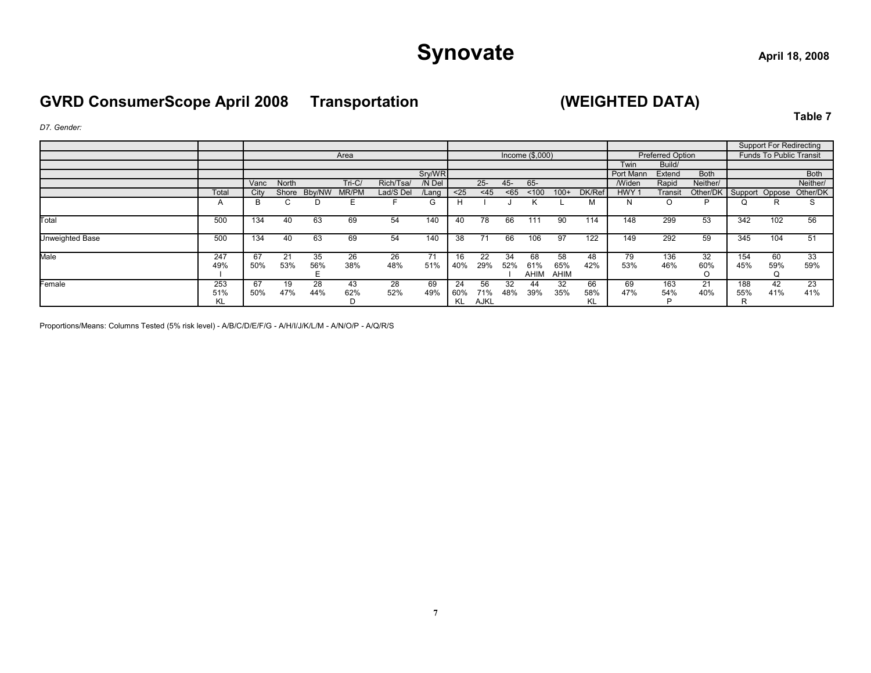# Synovate
and  $\frac{1}{2}$  April 18, 2008

### **GVRD ConsumerScope April 2008 Transportation (WEIGHTED DATA)**

**Table 7**

*D7. Gender:*

|                 |                  |           |           |           |           |           |           |                 |                   |           |                    |                   |                 |                  |                         |                         |                 | <b>Support For Redirecting</b> |             |
|-----------------|------------------|-----------|-----------|-----------|-----------|-----------|-----------|-----------------|-------------------|-----------|--------------------|-------------------|-----------------|------------------|-------------------------|-------------------------|-----------------|--------------------------------|-------------|
|                 |                  |           |           |           | Area      |           |           |                 |                   |           | Income $(\$$ ,000) |                   |                 |                  | <b>Preferred Option</b> |                         |                 | <b>Funds To Public Transit</b> |             |
|                 |                  |           |           |           |           |           |           |                 |                   |           |                    |                   |                 | Twin             | Build/                  |                         |                 |                                |             |
|                 |                  |           |           |           |           |           | Sry/WR    |                 |                   |           |                    |                   |                 | Port Mann        | Extend                  | <b>Both</b>             |                 |                                | <b>Both</b> |
|                 |                  | Vanc      | North     |           | Tri-C/    | Rich/Tsa/ | /N Del    |                 | $25 -$            | $45 -$    | 65-                |                   |                 | <b>/Widen</b>    | Rapid                   | Neither/                |                 |                                | Neither/    |
|                 | Total            | City      | Shore     | Bby/NW    | MR/PM     | Lad/S Del | Lang      | $25$            | $<$ 45            | < 65      | < 100              | $100+$            | DK/Ref          | HWY <sub>1</sub> | Transit                 | Other/DK Support Oppose |                 |                                | Other/DK    |
|                 | $\mathsf{A}$     | B         |           |           |           |           | G         |                 |                   |           |                    |                   | М               | N                |                         | D                       | Q               |                                |             |
| Total           | 500              | 134       | 40        | 63        | 69        | 54        | 140       | 40              | 78                | 66        | 111                | 90                | 114             | 148              | 299                     | 53                      | 342             | 102                            | 56          |
| Unweighted Base | 500              | 134       | 40        | 63        | 69        | 54        | 140       | 38              | 71                | 66        | 106                | 97                | 122             | 149              | 292                     | 59                      | 345             | 104                            | 51          |
| Male            | 247<br>49%       | 67<br>50% | 21<br>53% | 35<br>56% | 26<br>38% | 26<br>48% | 71<br>51% | 40%             | 22<br>29%         | 34<br>52% | 68<br>61%<br>AHIM  | 58<br>65%<br>AHIM | 48<br>42%       | 79<br>53%        | 136<br>46%              | 32<br>60%               | 154<br>45%      | 60<br>59%                      | 33<br>59%   |
| Female          | 253<br>51%<br>ΚL | 67<br>50% | 19<br>47% | 28<br>44% | 43<br>62% | 28<br>52% | 69<br>49% | 24<br>60%<br>KL | 56<br>71%<br>AJKL | 32<br>48% | 44<br>39%          | 32<br>35%         | 66<br>58%<br>KL | 69<br>47%        | 163<br>54%              | 21<br>40%               | 188<br>55%<br>R | 42<br>41%                      | 23<br>41%   |